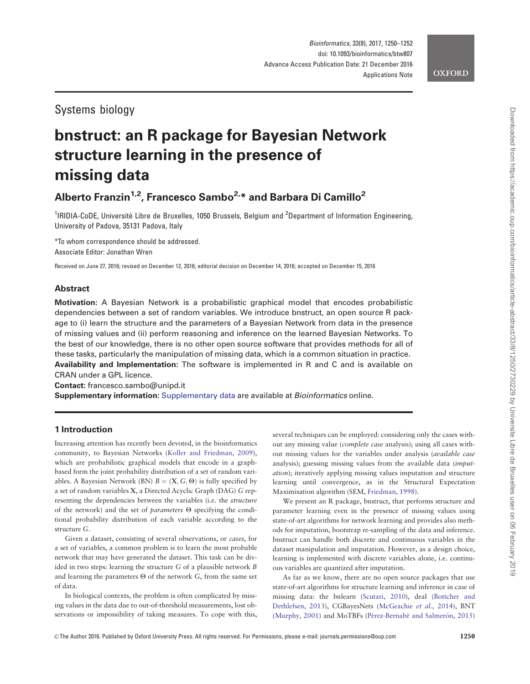# Systems biology

# bnstruct: an R package for Bayesian Network structure learning in the presence of missing data

# Alberto Franzin<sup>1,2</sup>, Francesco Sambo<sup>2,\*</sup> and Barbara Di Camillo<sup>2</sup>

<sup>1</sup>IRIDIA-CoDE, Université Libre de Bruxelles, 1050 Brussels, Belgium and <sup>2</sup>Department of Information Engineering, University of Padova, 35131 Padova, Italy

\*To whom correspondence should be addressed. Associate Editor: Jonathan Wren

Received on June 27, 2016; revised on December 12, 2016; editorial decision on December 14, 2016; accepted on December 15, 2016

# Abstract

Motivation: A Bayesian Network is a probabilistic graphical model that encodes probabilistic dependencies between a set of random variables. We introduce bnstruct, an open source R package to (i) learn the structure and the parameters of a Bayesian Network from data in the presence of missing values and (ii) perform reasoning and inference on the learned Bayesian Networks. To the best of our knowledge, there is no other open source software that provides methods for all of these tasks, particularly the manipulation of missing data, which is a common situation in practice. Availability and Implementation: The software is implemented in R and C and is available on CRAN under a GPL licence.

Contact: francesco.sambo@unipd.it

Supplementary information: [Supplementary data](http://bioinformatics.oxfordjournals.org/lookup/suppl/doi:10.1093/bioinformatics/btw807/-/DC1) are available at Bioinformatics online.

# 1 Introduction

Increasing attention has recently been devoted, in the bioinformatics community, to Bayesian Networks ([Koller and Friedman, 2009](#page-2-0)), which are probabilistic graphical models that encode in a graphbased form the joint probability distribution of a set of random variables. A Bayesian Network (BN)  $B = (X, G, \Theta)$  is fully specified by a set of random variables X, a Directed Acyclic Graph (DAG) G representing the dependencies between the variables (i.e. the structure of the network) and the set of *parameters*  $\Theta$  specifying the conditional probability distribution of each variable according to the structure G.

Given a dataset, consisting of several observations, or cases, for a set of variables, a common problem is to learn the most probable network that may have generated the dataset. This task can be divided in two steps: learning the structure G of a plausible network B and learning the parameters  $\Theta$  of the network G, from the same set of data.

In biological contexts, the problem is often complicated by missing values in the data due to out-of-threshold measurements, lost observations or impossibility of taking measures. To cope with this, several techniques can be employed: considering only the cases without any missing value (complete case analysis); using all cases without missing values for the variables under analysis (available case analysis); guessing missing values from the available data (imputation); iteratively applying missing values imputation and structure learning until convergence, as in the Structural Expectation Maximisation algorithm (SEM, [Friedman, 1998](#page-2-0)).

We present an R package, bnstruct, that performs structure and parameter learning even in the presence of missing values using state-of-art algorithms for network learning and provides also methods for imputation, bootstrap re-sampling of the data and inference. bnstruct can handle both discrete and continuous variables in the dataset manipulation and imputation. However, as a design choice, learning is implemented with discrete variables alone, i.e. continuous variables are quantized after imputation.

As far as we know, there are no open source packages that use state-of-art algorithms for structure learning and inference in case of missing data: the bnlearn ([Scutari, 2010\)](#page-2-0), deal ([Bottcher and](#page-1-0) [Dethlefsen, 2013](#page-1-0)), CGBayesNets [\(McGeachie](#page-2-0) et al., 2014), BNT ([Murphy, 2001\)](#page-2-0) and MoTBFs (Pérez-Bernabé and Salmeró[n, 2015](#page-2-0))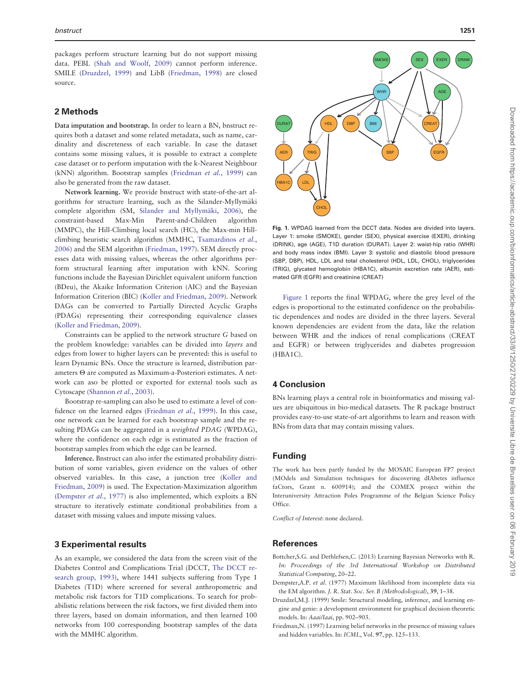<span id="page-1-0"></span>packages perform structure learning but do not support missing data. PEBL [\(Shah and Woolf, 2009](#page-2-0)) cannot perform inference. SMILE (Druzdzel, 1999) and LibB [\(Friedman, 1998\)](#page-2-0) are closed source.

#### 2 Methods

Data imputation and bootstrap. In order to learn a BN, bnstruct requires both a dataset and some related metadata, such as name, cardinality and discreteness of each variable. In case the dataset contains some missing values, it is possible to extract a complete case dataset or to perform imputation with the k-Nearest Neighbour (kNN) algorithm. Bootstrap samples [\(Friedman](#page-2-0) et al., 1999) can also be generated from the raw dataset.

Network learning. We provide bnstruct with state-of-the-art algorithms for structure learning, such as the Silander-Myllymäki complete algorithm (SM, [Silander and Myllym](#page-2-0)äki, 2006), the constraint-based Max-Min Parent-and-Children algorithm (MMPC), the Hill-Climbing local search (HC), the Max-min Hillclimbing heuristic search algorithm (MMHC, [Tsamardinos](#page-2-0) et al., [2006\)](#page-2-0) and the SEM algorithm (Friedman, 1997). SEM directly processes data with missing values, whereas the other algorithms perform structural learning after imputation with kNN. Scoring functions include the Bayesian Dirichlet equivalent uniform function (BDeu), the Akaike Information Criterion (AIC) and the Bayesian Information Criterion (BIC) ([Koller and Friedman, 2009\)](#page-2-0). Network DAGs can be converted to Partially Directed Acyclic Graphs (PDAGs) representing their corresponding equivalence classes ([Koller and Friedman, 2009](#page-2-0)).

Constraints can be applied to the network structure G based on the problem knowledge: variables can be divided into layers and edges from lower to higher layers can be prevented: this is useful to learn Dynamic BNs. Once the structure is learned, distribution parameters  $\Theta$  are computed as Maximum-a-Posteriori estimates. A network can aso be plotted or exported for external tools such as Cytoscape [\(Shannon](#page-2-0) et al., 2003).

Bootstrap re-sampling can also be used to estimate a level of confidence on the learned edges ([Friedman](#page-2-0) et al., 1999). In this case, one network can be learned for each bootstrap sample and the resulting PDAGs can be aggregated in a weighted PDAG (WPDAG), where the confidence on each edge is estimated as the fraction of bootstrap samples from which the edge can be learned.

Inference. Bnstruct can also infer the estimated probability distribution of some variables, given evidence on the values of other observed variables. In this case, a junction tree [\(Koller and](#page-2-0) [Friedman, 2009](#page-2-0)) is used. The Expectation-Maximization algorithm (Dempster et al., 1977) is also implemented, which exploits a BN structure to iteratively estimate conditional probabilities from a dataset with missing values and impute missing values.

### 3 Experimental results

As an example, we considered the data from the screen visit of the Diabetes Control and Complications Trial (DCCT, [The DCCT re](#page-2-0)[search group, 1993](#page-2-0)), where 1441 subjects suffering from Type 1 Diabetes (T1D) where screened for several anthropometric and metabolic risk factors for T1D complications. To search for probabilistic relations between the risk factors, we first divided them into three layers, based on domain information, and then learned 100 networks from 100 corresponding bootstrap samples of the data with the MMHC algorithm.



Fig. 1. WPDAG learned from the DCCT data. Nodes are divided into layers. Layer 1: smoke (SMOKE), gender (SEX), physical exercise (EXER), drinking (DRINK), age (AGE), T1D duration (DURAT). Layer 2: waist-hip ratio (WHR) and body mass index (BMI). Layer 3: systolic and diastolic blood pressure (SBP, DBP), HDL, LDL and total cholesterol (HDL, LDL, CHOL), triglycerides (TRIG), glycated hemoglobin (HBA1C), albumin excretion rate (AER), estimated GFR (EGFR) and creatinine (CREAT)

Figure 1 reports the final WPDAG, where the grey level of the edges is proportional to the estimated confidence on the probabilistic dependences and nodes are divided in the three layers. Several known dependencies are evident from the data, like the relation between WHR and the indices of renal complications (CREAT and EGFR) or between triglycerides and diabetes progression (HBA1C).

## 4 Conclusion

BNs learning plays a central role in bioinformatics and missing values are ubiquitous in bio-medical datasets. The R package bnstruct provides easy-to-use state-of-art algorithms to learn and reason with BNs from data that may contain missing values.

#### Funding

The work has been partly funded by the MOSAIC European FP7 project (MOdels and Simulation techniques for discovering dIAbetes influence faCtors, Grant n. 600914); and the COMEX project within the Interuniversity Attraction Poles Programme of the Belgian Science Policy Office.

Conflict of Interest: none declared.

#### References

- Bottcher,S.G. and Dethlefsen,C. (2013) Learning Bayesian Networks with R. In: Proceedings of the 3rd International Workshop on Distributed Statistical Computing, 20–22.
- Dempster,A.P. et al. (1977) Maximum likelihood from incomplete data via the EM algorithm. J. R. Stat. Soc. Ser. B (Methodological), 39, 1–38.
- Druzdzel,M.J. (1999) Smile: Structural modeling, inference, and learning engine and genie: a development environment for graphical decision-theoretic models. In: Aaai/Iaai, pp. 902–903.
- Friedman,N. (1997) Learning belief networks in the presence of missing values and hidden variables. In: ICML, Vol. 97, pp. 125–133.